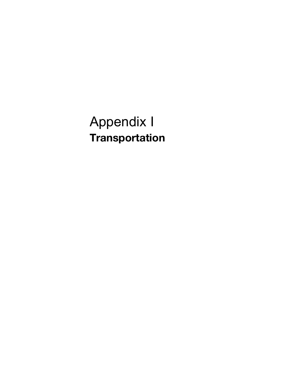# Appendix I **Transportation**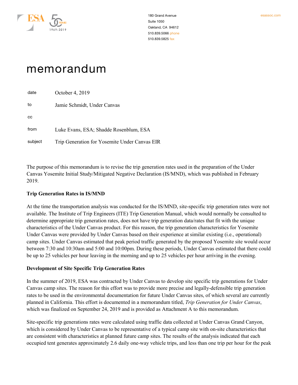

# memorandum

| date    | October 4, 2019                               |
|---------|-----------------------------------------------|
| to      | Jamie Schmidt, Under Canvas                   |
| CC      |                                               |
| from    | Luke Evans, ESA; Shadde Rosenblum, ESA        |
| subject | Trip Generation for Yosemite Under Canvas EIR |

The purpose of this memorandum is to revise the trip generation rates used in the preparation of the Under Canvas Yosemite Initial Study/Mitigated Negative Declaration (IS/MND), which was published in February 2019.

#### **Trip Generation Rates in IS/MND**

At the time the transportation analysis was conducted for the IS/MND, site-specific trip generation rates were not available. The Institute of Trip Engineers (ITE) Trip Generation Manual, which would normally be consulted to determine appropriate trip generation rates, does not have trip generation data/rates that fit with the unique characteristics of the Under Canvas product. For this reason, the trip generation characteristics for Yosemite Under Canvas were provided by Under Canvas based on their experience at similar existing (i.e., operational) camp sites. Under Canvas estimated that peak period traffic generated by the proposed Yosemite site would occur between 7:30 and 10:30am and 5:00 and 10:00pm. During these periods, Under Canvas estimated that there could be up to 25 vehicles per hour leaving in the morning and up to 25 vehicles per hour arriving in the evening.

#### **Development of Site Specific Trip Generation Rates**

In the summer of 2019, ESA was contracted by Under Canvas to develop site specific trip generations for Under Canvas camp sites. The reason for this effort was to provide more precise and legally-defensible trip generation rates to be used in the environmental documentation for future Under Canvas sites, of which several are currently planned in California. This effort is documented in a memorandum titled, *Trip Generation for Under Canvas*, which was finalized on September 24, 2019 and is provided as Attachment A to this memorandum.

Site-specific trip generations rates were calculated using traffic data collected at Under Canvas Grand Canyon, which is considered by Under Canvas to be representative of a typical camp site with on-site characteristics that are consistent with characteristics at planned future camp sites. The results of the analysis indicated that each occupied tent generates approximately 2.6 daily one-way vehicle trips, and less than one trip per hour for the peak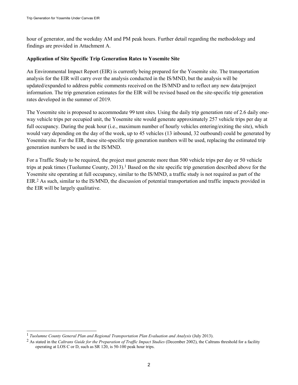hour of generator, and the weekday AM and PM peak hours. Further detail regarding the methodology and findings are provided in Attachment A.

#### **Application of Site Specific Trip Generation Rates to Yosemite Site**

An Environmental Impact Report (EIR) is currently being prepared for the Yosemite site. The transportation analysis for the EIR will carry over the analysis conducted in the IS/MND, but the analysis will be updated/expanded to address public comments received on the IS/MND and to reflect any new data/project information. The trip generation estimates for the EIR will be revised based on the site-specific trip generation rates developed in the summer of 2019.

The Yosemite site is proposed to accommodate 99 tent sites. Using the daily trip generation rate of 2.6 daily oneway vehicle trips per occupied unit, the Yosemite site would generate approximately 257 vehicle trips per day at full occupancy. During the peak hour (i.e., maximum number of hourly vehicles entering/exiting the site), which would vary depending on the day of the week, up to 45 vehicles (13 inbound, 32 outbound) could be generated by Yosemite site. For the EIR, these site-specific trip generation numbers will be used, replacing the estimated trip generation numbers be used in the IS/MND.

For a Traffic Study to be required, the project must generate more than 500 vehicle trips per day or 50 vehicle trips at peak times (Tuolumne County, 2013).<sup>1</sup> Based on the site specific trip generation described above for the Yosemite site operating at full occupancy, similar to the IS/MND, a traffic study is not required as part of the EIR. <sup>2</sup> As such, similar to the IS/MND, the discussion of potential transportation and traffic impacts provided in the EIR will be largely qualitative.

 <sup>1</sup> *Tuolumne County General Plan and Regional Transportation Plan Evaluation and Analysis* (July 2013).

<sup>2</sup> As stated in the *Caltrans Guide for the Preparation of Traffic Impact Studies* (December 2002), the Caltrans threshold for a facility operating at LOS C or D, such as SR 120, is 50-100 peak hour trips.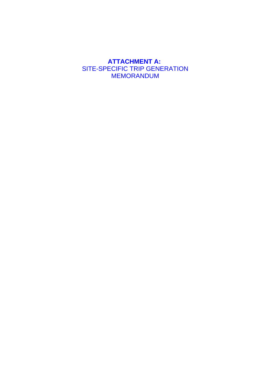## **ATTACHMENT A:** SITE-SPECIFIC TRIP GENERATION **MEMORANDUM**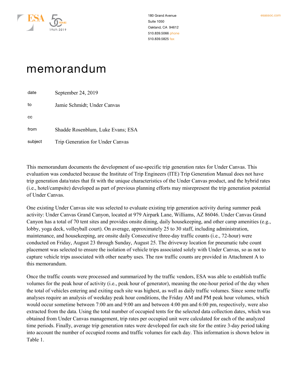

# memorandum

date September 24, 2019 to Jamie Schmidt; Under Canvas cc from Shadde Rosenblum, Luke Evans; ESA subject Trip Generation for Under Canvas

This memorandum documents the development of use-specific trip generation rates for Under Canvas. This evaluation was conducted because the Institute of Trip Engineers (ITE) Trip Generation Manual does not have trip generation data/rates that fit with the unique characteristics of the Under Canvas product, and the hybrid rates (i.e., hotel/campsite) developed as part of previous planning efforts may misrepresent the trip generation potential of Under Canvas.

One existing Under Canvas site was selected to evaluate existing trip generation activity during summer peak activity: Under Canvas Grand Canyon, located at 979 Airpark Lane, Williams, AZ 86046. Under Canvas Grand Canyon has a total of 70 tent sites and provides onsite dining, daily housekeeping, and other camp amenities (e.g., lobby, yoga deck, volleyball court). On average, approximately 25 to 30 staff, including administration, maintenance, and housekeeping, are onsite daily Consecutive three-day traffic counts (i.e., 72-hour) were conducted on Friday, August 23 through Sunday, August 25. The driveway location for pneumatic tube count placement was selected to ensure the isolation of vehicle trips associated solely with Under Canvas, so as not to capture vehicle trips associated with other nearby uses. The raw traffic counts are provided in Attachment A to this memorandum.

Once the traffic counts were processed and summarized by the traffic vendors, ESA was able to establish traffic volumes for the peak hour of activity (i.e., peak hour of generator), meaning the one-hour period of the day when the total of vehicles entering and exiting each site was highest, as well as daily traffic volumes. Since some traffic analyses require an analysis of weekday peak hour conditions, the Friday AM and PM peak hour volumes, which would occur sometime between 7:00 am and 9:00 am and between 4:00 pm and 6:00 pm, respectively, were also extracted from the data. Using the total number of occupied tents for the selected data collection dates, which was obtained from Under Canvas management, trip rates per occupied unit were calculated for each of the analyzed time periods. Finally, average trip generation rates were developed for each site for the entire 3-day period taking into account the number of occupied rooms and traffic volumes for each day. This information is shown below in Table 1.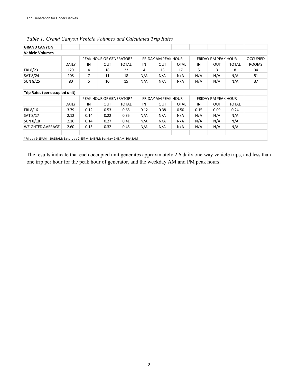| <b>GRAND CANYON</b>                                                     |              |                |                         |              |      |                            |              |                            |                            |              |                 |
|-------------------------------------------------------------------------|--------------|----------------|-------------------------|--------------|------|----------------------------|--------------|----------------------------|----------------------------|--------------|-----------------|
| <b>Vehicle Volumes</b>                                                  |              |                |                         |              |      |                            |              |                            |                            |              |                 |
|                                                                         |              |                | PEAK HOUR OF GENERATOR* |              |      | <b>FRIDAY AM PEAK HOUR</b> |              |                            | <b>FRIDAY PM PEAK HOUR</b> |              | <b>OCCUPIED</b> |
|                                                                         | <b>DAILY</b> | IN             | <b>OUT</b>              | <b>TOTAL</b> | IN   | <b>OUT</b>                 | <b>TOTAL</b> | IN                         | <b>OUT</b>                 | <b>TOTAL</b> | <b>ROOMS</b>    |
| FRI 8/23                                                                | 129          | 4              | 18                      | 22           | 4    | 13                         | 17           | 5                          | 3                          | 8            | 34              |
| SAT 8/24                                                                | 108          | $\overline{7}$ | 11                      | 18           | N/A  | N/A                        | N/A          | N/A                        | N/A                        | N/A          | 51              |
| <b>SUN 8/25</b>                                                         | 80           | 5              | 10                      | 15           | N/A  | N/A                        | N/A          | N/A                        | N/A                        | N/A          | 37              |
| Trip Rates (per occupied unit)                                          |              |                |                         |              |      |                            |              |                            |                            |              |                 |
|                                                                         |              |                | PEAK HOUR OF GENERATOR* |              |      | <b>FRIDAY AM PEAK HOUR</b> |              | <b>FRIDAY PM PEAK HOUR</b> |                            |              |                 |
|                                                                         | <b>DAILY</b> | IN             | <b>OUT</b>              | <b>TOTAL</b> | IN   | OUT                        | <b>TOTAL</b> | IN                         | <b>OUT</b>                 | <b>TOTAL</b> |                 |
| FRI 8/16                                                                | 3.79         | 0.12           | 0.53                    | 0.65         | 0.12 | 0.38                       | 0.50         | 0.15                       | 0.09                       | 0.24         |                 |
| SAT 8/17                                                                | 2.12         | 0.14           | 0.22                    | 0.35         | N/A  | N/A                        | N/A          | N/A                        | N/A                        | N/A          |                 |
| <b>SUN 8/18</b>                                                         | 2.16         | 0.14           | 0.27                    | 0.41         | N/A  | N/A                        | N/A          | N/A                        | N/A                        | N/A          |                 |
| <b>WEIGHTED AVERAGE</b>                                                 | 2.60         | 0.13           | 0.32                    | 0.45         | N/A  | N/A                        | N/A          | N/A                        | N/A                        | N/A          |                 |
|                                                                         |              |                |                         |              |      |                            |              |                            |                            |              |                 |
| *Friday 9:15AM - 10:15AM; Saturday 2:45PM-3:45PM; Sunday 9:45AM-10:45AM |              |                |                         |              |      |                            |              |                            |                            |              |                 |

*Table 1: Grand Canyon Vehicle Volumes and Calculated Trip Rates*

The results indicate that each occupied unit generates approximately 2.6 daily one-way vehicle trips, and less than one trip per hour for the peak hour of generator, and the weekday AM and PM peak hours.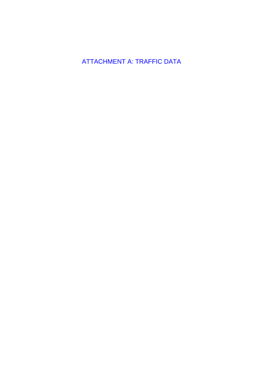**ATTACHMENT A: TRAFFIC DATA**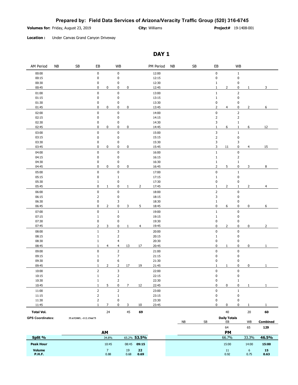#### **Prepared by: Field Data Services of Arizona/Veracity Traffic Group (520) 316-6745**

**Volumes for: City:** Williams

**Project#** 19-1408-001

**Location :** Under Canvas Grand Canyon Driveway

### **DAY 1**

| AM Period<br>NΒ                | ${\sf SB}$             | EB                             | WB                        |              |                | PM Period      | <b>NB</b> | SB |    | EB             |                           | WB                     |                 |
|--------------------------------|------------------------|--------------------------------|---------------------------|--------------|----------------|----------------|-----------|----|----|----------------|---------------------------|------------------------|-----------------|
| 00:00                          |                        | $\pmb{0}$                      | $\pmb{0}$                 |              |                | 12:00          |           |    |    | $\pmb{0}$      |                           | $\mathbf{1}$           |                 |
| 00:15                          |                        | 0                              | 0                         |              |                | 12:15          |           |    |    | $\pmb{0}$      |                           | $\pmb{0}$              |                 |
| 00:30                          |                        | 0                              | 0                         |              |                | 12:30          |           |    |    | $1\,$          |                           | 0                      |                 |
| 00:45                          |                        | $\pmb{0}$<br>0                 | 0                         | 0            |                | 12:45          |           |    |    | $\mathbf 1$    | $\overline{2}$            | $\pmb{0}$<br>1         | 3               |
| 01:00                          |                        | $\pmb{0}$                      | 0                         |              |                | 13:00          |           |    |    | $\mathbf 1$    |                           | $\overline{2}$         |                 |
| 01:15                          |                        | $\pmb{0}$                      | $\pmb{0}$                 |              |                | 13:15          |           |    |    | $\mathbf 1$    |                           | 0                      |                 |
| 01:30                          |                        | 0                              | 0                         |              |                | 13:30          |           |    |    | 0              |                           | $\pmb{0}$              |                 |
| 01:45                          |                        | $\pmb{0}$<br>0                 | 0                         | 0            |                | 13:45          |           |    |    | $\mathbf 2$    | $\overline{4}$            | 0<br>$\overline{2}$    | 6               |
| 02:00                          |                        | $\pmb{0}$                      | 0                         |              |                | 14:00          |           |    |    | $\pmb{0}$      |                           | 2                      |                 |
| 02:15                          |                        | $\bf{0}$                       | 0                         |              |                | 14:15          |           |    |    | $\mathsf{2}$   |                           | 2                      |                 |
| 02:30                          |                        | 0                              | 0                         |              |                | 14:30          |           |    |    | 3              |                           | $1\,$                  |                 |
| 02:45                          |                        | 0<br>0                         | 0                         | 0            |                | 14:45          |           |    |    | $\mathbf 1$    | 6                         | $\mathbf{1}$<br>6      | 12              |
| 03:00                          |                        | $\pmb{0}$                      | 0                         |              |                | 15:00          |           |    |    | 3              |                           | $\mathbf 1$            |                 |
| 03:15                          |                        | 0                              | 0                         |              |                | 15:15          |           |    |    | $\overline{2}$ |                           | $\pmb{0}$              |                 |
| 03:30                          |                        | 0                              | 0                         |              |                | 15:30          |           |    |    | 3              |                           | 3                      |                 |
| 03:45                          |                        | 0<br>0                         | 0                         | 0            |                | 15:45          |           |    |    | 3              | 11                        | 0<br>4                 | 15              |
| 04:00                          |                        | $\pmb{0}$                      | 0                         |              |                | 16:00          |           |    |    | $\mathbf 1$    |                           | $\pmb{0}$              |                 |
| 04:15                          |                        | 0                              | 0                         |              |                | 16:15          |           |    |    | $\mathbf 1$    |                           | $\overline{2}$         |                 |
| 04:30                          |                        | 0                              | 0                         |              |                | 16:30          |           |    |    | $1\,$          |                           | $1\,$                  |                 |
| 04:45                          |                        | 0<br>0                         | 0                         | 0            |                | 16:45          |           |    |    | $\overline{2}$ | 5                         | 0<br>3                 | 8               |
| 05:00                          |                        | $\pmb{0}$                      | $\pmb{0}$                 |              |                | 17:00          |           |    |    | $\pmb{0}$      |                           | $1\,$                  |                 |
| 05:15                          |                        | $\pmb{0}$                      | $1\,$                     |              |                | 17:15          |           |    |    | $\mathbf 1$    |                           | 0                      |                 |
| 05:30                          |                        | $\mathbf 1$                    | 0                         |              |                | 17:30          |           |    |    | $\pmb{0}$      |                           | 0                      |                 |
| 05:45                          |                        | 0<br>$\mathbf{1}$              | 0                         | $\mathbf{1}$ | $\overline{2}$ | 17:45          |           |    |    | $\mathbf 1$    | 2                         | $\mathbf{1}$<br>2      | 4               |
| 06:00                          |                        | $\pmb{0}$                      | 0                         |              |                | 18:00          |           |    |    | $\overline{2}$ |                           | 0                      |                 |
| 06:15                          |                        | $\mathbf 2$                    | 0                         |              |                | 18:15          |           |    |    | 3              |                           | 0                      |                 |
| 06:30                          |                        | 0                              | 3                         |              |                | 18:30          |           |    |    | $1\,$          |                           | 0                      |                 |
| 06:45                          |                        | 0<br>$\overline{2}$            | 0                         | 3            | 5              | 18:45          |           |    |    | $\pmb{0}$      | 6                         | 0<br>0                 | 6               |
| 07:00                          |                        | $\pmb{0}$                      | $\mathbf{1}$              |              |                | 19:00          |           |    |    | $\mathbf 1$    |                           | $\pmb{0}$              |                 |
| 07:15                          |                        | $\mathbf{1}$                   | 0                         |              |                | 19:15          |           |    |    | $1\,$          |                           | $\pmb{0}$              |                 |
| 07:30                          |                        | 0                              | 0                         |              |                | 19:30          |           |    |    | $\pmb{0}$      |                           | $\pmb{0}$              |                 |
| 07:45                          |                        | $\overline{2}$<br>3            | 0                         | $1\,$        | $\overline{4}$ | 19:45          |           |    |    | 0              | $\overline{2}$            | 0<br>0                 | 2               |
| 08:00                          |                        | $\mathbf 1$                    | 3                         |              |                | 20:00          |           |    |    | $\pmb{0}$      |                           | 0                      |                 |
| 08:15                          |                        | $\mathbf 1$                    | 2                         |              |                | 20:15          |           |    |    | $1\,$          |                           | 0                      |                 |
| 08:30                          |                        | $\,1\,$                        | 4                         |              |                | 20:30          |           |    |    | $\pmb{0}$      |                           | 0                      |                 |
| 08:45                          |                        | $\mathbf{1}$<br>$\overline{4}$ | $\overline{4}$            | 13           | 17             | 20:45          |           |    |    | $\pmb{0}$      | $\mathbf{1}$              | 0<br>0                 | 1               |
| 09:00                          |                        | $\pmb{0}$                      | $\overline{2}$            |              |                | 21:00          |           |    |    | $\pmb{0}$      |                           | $\pmb{0}$              |                 |
| 09:15                          |                        | $1\,$                          | $\overline{7}$            |              |                | 21:15          |           |    |    | $\pmb{0}$      |                           | 0                      |                 |
| 09:30                          |                        | $\pmb{0}$                      | 6                         |              |                | 21:30          |           |    |    | $\pmb{0}$      |                           | 0                      |                 |
| 09:45                          |                        | $1\,$<br>$\overline{2}$        | 2                         | 17           | 19             | 21:45          |           |    |    | $\mathbf{1}$   | 1                         | 0<br>0                 | 1               |
| 10:00                          |                        | $\mathbf 2$                    | $\ensuremath{\mathsf{3}}$ |              |                | 22:00          |           |    |    | $\pmb{0}$      |                           | $\pmb{0}$              |                 |
| 10:15                          |                        | $\mathbf 1$                    | $\overline{2}$            |              |                | 22:15          |           |    |    | $\pmb{0}$      |                           | $\pmb{0}$              |                 |
| 10:30                          |                        | $\mathbf{1}$                   | 2                         |              |                | 22:30          |           |    |    | 0              |                           | $\mathbf{1}$           |                 |
| 10:45                          |                        | $\mathbf{1}$<br>5              | 0                         | 7            | 12             | 22:45          |           |    |    | $\pmb{0}$      | 0                         | 0<br>$\mathbf{1}$      | 1               |
| 11:00                          |                        | $\mathsf{2}$                   | $\overline{2}$            |              |                | 23:00          |           |    |    | $\pmb{0}$      |                           | $1\,$                  |                 |
| 11:15                          |                        | $\mathsf{2}$                   | $\mathbf{1}$              |              |                | 23:15          |           |    |    | $\pmb{0}$      |                           | 0                      |                 |
| 11:30<br>11:45                 |                        | $\overline{2}$<br>$1\,$<br>7   | 0<br>0                    | 3            | 10             | 23:30<br>23:45 |           |    |    | 0<br>0         | 0                         | 0<br>0<br>$\mathbf{1}$ | $\mathbf{1}$    |
|                                |                        |                                |                           |              |                |                |           |    |    |                |                           |                        |                 |
| <b>Total Vol.</b>              |                        | 24                             |                           | 45           | 69             |                |           |    |    |                | 40                        | 20                     | 60              |
| <b>GPS Coordinates:</b>        | 35.652085, -112.156675 |                                |                           |              |                |                |           | NB | SB |                | <b>Daily Totals</b><br>EB | WB                     | <b>Combined</b> |
|                                |                        |                                |                           |              |                |                |           |    |    |                | 64                        | 65                     | 129             |
|                                |                        | AM                             |                           |              |                |                |           |    |    |                | PM                        |                        |                 |
| Split %                        |                        | 34.8%                          |                           |              | 65.2% 53.5%    |                |           |    |    |                | 66.7%                     | 33.3%                  | 46.5%           |
|                                |                        |                                |                           |              |                |                |           |    |    |                |                           |                        |                 |
| <b>Peak Hour</b>               |                        | 10:45                          |                           | 08:45        | 09:15          |                |           |    |    |                | 15:00                     | 14:00                  | 15:00           |
| <b>Volume</b><br><b>P.H.F.</b> |                        | $\overline{7}$<br>0.88         |                           | 19<br>0.68   | 22<br>0.69     |                |           |    |    |                | 11<br>0.92                | 6<br>0.75              | 15<br>0.63      |
|                                |                        |                                |                           |              |                |                |           |    |    |                |                           |                        |                 |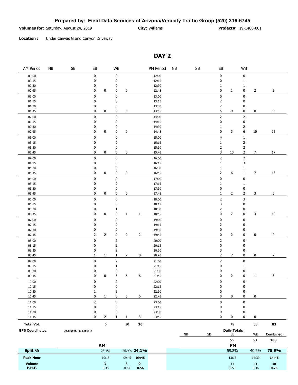#### **Prepared by: Field Data Services of Arizona/Veracity Traffic Group (520) 316-6745**

**Volumes for:** Saturday, August 24, 2019 19-1408 10: **City:** Williams 19-1408-001 19-1408-001

**Project#**

**Location :** Under Canvas Grand Canyon Driveway

### **DAY 2**

| AM Period               | NB | $\mathsf{SB}\xspace$   | EB             |                | <b>WB</b>      |                |                | PM Period | NB | $\mathsf{SB}\xspace$ |    | EB                              |                     | <b>WB</b>      |                |                |
|-------------------------|----|------------------------|----------------|----------------|----------------|----------------|----------------|-----------|----|----------------------|----|---------------------------------|---------------------|----------------|----------------|----------------|
| 00:00                   |    |                        | $\pmb{0}$      |                | $\pmb{0}$      |                |                | 12:00     |    |                      |    | $\pmb{0}$                       |                     | 0              |                |                |
| 00:15                   |    |                        | $\pmb{0}$      |                | $\pmb{0}$      |                |                | 12:15     |    |                      |    | 0                               |                     | $1\,$          |                |                |
| 00:30                   |    |                        | 0              |                | $\pmb{0}$      |                |                | 12:30     |    |                      |    | $\mathbf 1$                     |                     | $\mathbf{1}$   |                |                |
| 00:45                   |    |                        | 0              | 0              | 0              | $\pmb{0}$      |                | 12:45     |    |                      |    | 0                               | 1                   | 0              | $\overline{2}$ | 3              |
| 01:00                   |    |                        | $\pmb{0}$      |                | $\pmb{0}$      |                |                | 13:00     |    |                      |    | $\pmb{0}$                       |                     | 0              |                |                |
| 01:15                   |    |                        | 0              |                | 0              |                |                | 13:15     |    |                      |    | $\overline{\mathbf{c}}$         |                     | 0              |                |                |
| 01:30                   |    |                        | $\pmb{0}$      |                | 0              |                |                | 13:30     |    |                      |    | $\overline{\mathbf{c}}$         |                     | 0              |                |                |
| 01:45                   |    |                        | 0              | 0              | 0              | $\pmb{0}$      |                | 13:45     |    |                      |    | 5                               | 9                   | 0              | 0              | 9              |
| 02:00                   |    |                        | $\pmb{0}$      |                | $\pmb{0}$      |                |                | 14:00     |    |                      |    | $\mathsf 2$                     |                     | $\overline{2}$ |                |                |
| 02:15                   |    |                        | 0              |                | 0              |                |                | 14:15     |    |                      |    | 0                               |                     | $\pmb{0}$      |                |                |
| 02:30                   |    |                        | 0              |                | 0              |                |                | 14:30     |    |                      |    | $\mathbf{1}$                    |                     | $\overline{2}$ |                |                |
| 02:45                   |    |                        | 0              | 0              | 0              | 0              |                | 14:45     |    |                      |    | 0                               | 3                   | 6              | 10             | <u>13</u>      |
| 03:00                   |    |                        | $\pmb{0}$      |                | $\pmb{0}$      |                |                | 15:00     |    |                      |    | $\overline{4}$                  |                     | $1\,$          |                |                |
| 03:15                   |    |                        | 0              |                | 0              |                |                | 15:15     |    |                      |    | $\mathbf 1$                     |                     | $\mathsf{2}\,$ |                |                |
| 03:30                   |    |                        | 0              |                | 0              |                |                | 15:30     |    |                      |    | 2                               |                     | $\mathsf{2}\,$ |                |                |
| 03:45                   |    |                        | 0              | 0              | 0              | 0              |                | 15:45     |    |                      |    | 3                               | 10                  | $\mathbf{2}$   | 7              | 17             |
| 04:00                   |    |                        | $\pmb{0}$      |                | $\pmb{0}$      |                |                | 16:00     |    |                      |    | $\mathsf{2}$                    |                     | $\mathsf{2}\,$ |                |                |
| 04:15                   |    |                        | $\pmb{0}$      |                | 0              |                |                | 16:15     |    |                      |    | $\mathbf 1$                     |                     | 3              |                |                |
| 04:30                   |    |                        | 0              |                | 0              |                |                | 16:30     |    |                      |    | $\mathbf 1$                     |                     | $\mathbf{1}$   |                |                |
| 04:45                   |    |                        | 0              | 0              | 0              | $\pmb{0}$      |                | 16:45     |    |                      |    | $\overline{2}$                  | 6                   | $1\,$          | $\overline{7}$ | 13             |
| 05:00                   |    |                        | $\pmb{0}$      |                | $\pmb{0}$      |                |                | 17:00     |    |                      |    | $\pmb{0}$                       |                     | $\pmb{0}$      |                |                |
| 05:15                   |    |                        | 0              |                | 0              |                |                | 17:15     |    |                      |    | $\mathbf{1}$                    |                     | $\mathbf{1}$   |                |                |
| 05:30                   |    |                        | 0              |                | 0              |                |                | 17:30     |    |                      |    | 0                               |                     | 0              |                |                |
| 05:45                   |    |                        | $\mathbf 0$    | 0              | 0              | $\pmb{0}$      |                | 17:45     |    |                      |    | $\mathbf 1$                     | $\overline{2}$      | $\overline{2}$ | 3              | 5              |
| 06:00                   |    |                        | $\pmb{0}$      |                | $\pmb{0}$      |                |                | 18:00     |    |                      |    | $\mathsf{2}$                    |                     | 3              |                |                |
| 06:15                   |    |                        | 0              |                | 0              |                |                | 18:15     |    |                      |    | 3                               |                     | 0              |                |                |
| 06:30                   |    |                        | 0              |                | 1              |                |                | 18:30     |    |                      |    | $\overline{c}$                  |                     | 0              |                |                |
| 06:45                   |    |                        | $\mathbf 0$    | 0              | 0              | 1              | 1              | 18:45     |    |                      |    | 0                               | 7                   | 0              | 3              | 10             |
| 07:00                   |    |                        | $\mathbf 0$    |                | $\pmb{0}$      |                |                | 19:00     |    |                      |    | $\pmb{0}$                       |                     | 0              |                |                |
| 07:15                   |    |                        | 0              |                | 0              |                |                | 19:15     |    |                      |    | 2                               |                     | 0              |                |                |
| 07:30                   |    |                        | 0              |                | 0              |                |                | 19:30     |    |                      |    | 0                               |                     | 0              |                |                |
| 07:45                   |    |                        | $\overline{2}$ | $\overline{2}$ | 0              | 0              | $\overline{2}$ | 19:45     |    |                      |    | 0                               | $\overline{2}$      | 0              | 0              | $\overline{2}$ |
| 08:00                   |    |                        | 0              |                | $\mathbf 2$    |                |                | 20:00     |    |                      |    | $\overline{2}$                  |                     | 0              |                |                |
| 08:15                   |    |                        | 0              |                | $\overline{2}$ |                |                | 20:15     |    |                      |    | $\pmb{0}$                       |                     | 0              |                |                |
| 08:30                   |    |                        | 0              |                | $\overline{2}$ |                |                | 20:30     |    |                      |    | 3                               |                     | 0              |                |                |
| 08:45                   |    |                        | $\mathbf{1}$   | $\mathbf{1}$   | $\mathbf{1}$   | $\overline{7}$ | 8              | 20:45     |    |                      |    | $\overline{2}$                  | $\overline{7}$      | 0              | 0              | 7              |
| 09:00                   |    |                        | $\pmb{0}$      |                | $\mathsf{2}$   |                |                | 21:00     |    |                      |    | $\mathsf{2}\!\!\!\!\phantom{1}$ |                     | $\pmb{0}$      |                |                |
| 09:15                   |    |                        | 0              |                | $\mathbf{1}$   |                |                | 21:15     |    |                      |    | 0                               |                     | $\mathbf{1}$   |                |                |
| 09:30                   |    |                        | 0              |                | 0              |                |                | 21:30     |    |                      |    | 0                               |                     | 0              |                |                |
| 09:45                   |    |                        | 0              | 0              | 3              | 6              | 6              | 21:45     |    |                      |    | 0                               | $\overline{2}$      | 0              | 1              | 3              |
| 10:00                   |    |                        | $\Omega$       |                | $\overline{2}$ |                |                | 22:00     |    |                      |    | $\Omega$                        |                     | $\Omega$       |                |                |
| 10:15                   |    |                        | 0              |                | $\pmb{0}$      |                |                | 22:15     |    |                      |    | 0                               |                     | 0              |                |                |
| 10:30                   |    |                        | $\mathbf{1}$   |                | 3              |                |                | 22:30     |    |                      |    | 0                               |                     | 0              |                |                |
| 10:45                   |    |                        | 0              | $\mathbf{1}$   | 0              | 5              | 6              | 22:45     |    |                      |    | 0                               | 0                   | 0              | 0              |                |
| 11:00                   |    |                        | $\overline{2}$ |                | $\pmb{0}$      |                |                | 23:00     |    |                      |    | $\pmb{0}$                       |                     | $\pmb{0}$      |                |                |
| 11:15                   |    |                        | 0              |                | 0              |                |                | 23:15     |    |                      |    | 0                               |                     | 0              |                |                |
| 11:30                   |    |                        | 0              |                | 0              |                |                | 23:30     |    |                      |    | 0                               |                     | 0              |                |                |
| 11:45                   |    |                        | 0              | 2              | 1              | $\mathbf{1}$   | 3              | 23:45     |    |                      |    | 0                               | 0                   | 0              | 0              |                |
| <b>Total Vol.</b>       |    |                        |                | 6              |                | $20\,$         | 26             |           |    |                      |    |                                 | 49                  |                | 33             | 82             |
| <b>GPS Coordinates:</b> |    | 35.652085, -112.156675 |                |                |                |                |                |           |    |                      |    |                                 | <b>Daily Totals</b> |                |                |                |
|                         |    |                        |                |                |                |                |                |           |    | ${\sf NB}$           | SB |                                 | EB                  |                | WB             | Combined       |
|                         |    |                        |                |                |                |                |                |           |    |                      |    |                                 |                     |                |                |                |

|                   | 55                           | 53         | 108        |
|-------------------|------------------------------|------------|------------|
| ΑМ                | <b>PM</b>                    |            |            |
| 23.1%             | 59.8%                        | 40.2%      | 75.9%      |
| 10:15<br>09:45    | 13:15                        | 14:30      | 14:45      |
| 9<br>0.38<br>0.67 | 11<br>0.55                   | 11<br>0.46 | 18<br>0.75 |
|                   | 76.9% 24.1%<br>09:45<br>0.56 |            |            |